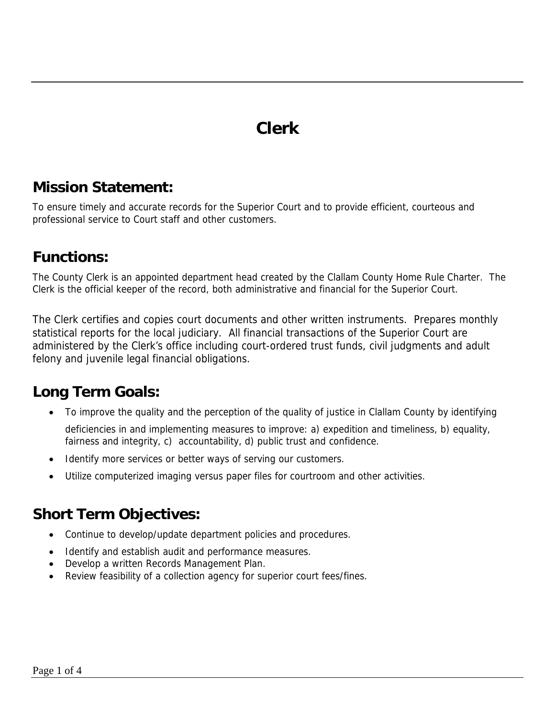## **Clerk**

#### **Mission Statement:**

To ensure timely and accurate records for the Superior Court and to provide efficient, courteous and professional service to Court staff and other customers.

## **Functions:**

The County Clerk is an appointed department head created by the Clallam County Home Rule Charter. The Clerk is the official keeper of the record, both administrative and financial for the Superior Court.

The Clerk certifies and copies court documents and other written instruments. Prepares monthly statistical reports for the local judiciary. All financial transactions of the Superior Court are administered by the Clerk's office including court-ordered trust funds, civil judgments and adult felony and juvenile legal financial obligations.

## **Long Term Goals:**

• To improve the quality and the perception of the quality of justice in Clallam County by identifying

deficiencies in and implementing measures to improve: a) expedition and timeliness, b) equality, fairness and integrity, c) accountability, d) public trust and confidence.

- Identify more services or better ways of serving our customers.
- Utilize computerized imaging versus paper files for courtroom and other activities.

#### **Short Term Objectives:**

- Continue to develop/update department policies and procedures.
- Identify and establish audit and performance measures.
- Develop a written Records Management Plan.
- Review feasibility of a collection agency for superior court fees/fines.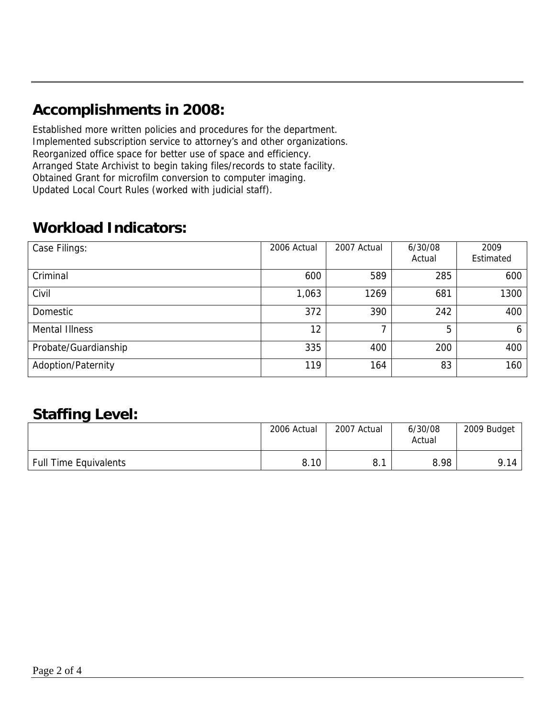## **Accomplishments in 2008:**

Established more written policies and procedures for the department. Implemented subscription service to attorney's and other organizations. Reorganized office space for better use of space and efficiency. Arranged State Archivist to begin taking files/records to state facility. Obtained Grant for microfilm conversion to computer imaging. Updated Local Court Rules (worked with judicial staff).

## **Workload Indicators:**

| Case Filings:         | 2006 Actual | 2007 Actual | 6/30/08<br>Actual | 2009<br>Estimated |
|-----------------------|-------------|-------------|-------------------|-------------------|
| Criminal              | 600         | 589         | 285               | 600               |
| Civil                 | 1,063       | 1269        | 681               | 1300              |
| Domestic              | 372         | 390         | 242               | 400               |
| <b>Mental Illness</b> | 12          |             | 5                 | 6                 |
| Probate/Guardianship  | 335         | 400         | 200               | 400               |
| Adoption/Paternity    | 119         | 164         | 83                | 160               |

## **Staffing Level:**

|                              | 2006 Actual | 2007 Actual | 6/30/08<br>Actual | 2009 Budget |
|------------------------------|-------------|-------------|-------------------|-------------|
| <b>Full Time Equivalents</b> | 8.10        | o.          | 8.98              | 9.14        |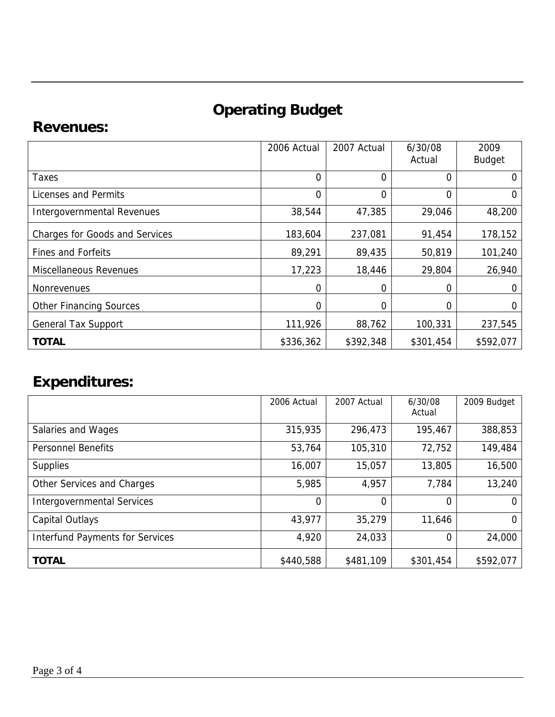# **Operating Budget**

## **Revenues:**

|                                       | 2006 Actual    | 2007 Actual | 6/30/08<br>Actual | 2009<br><b>Budget</b> |
|---------------------------------------|----------------|-------------|-------------------|-----------------------|
| Taxes                                 | $\overline{0}$ | 0           | 0                 | $\Omega$              |
| Licenses and Permits                  | $\overline{0}$ | 0           | 0                 | 0                     |
| Intergovernmental Revenues            | 38,544         | 47,385      | 29,046            | 48,200                |
| <b>Charges for Goods and Services</b> | 183,604        | 237,081     | 91,454            | 178,152               |
| <b>Fines and Forfeits</b>             | 89,291         | 89,435      | 50,819            | 101,240               |
| <b>Miscellaneous Revenues</b>         | 17,223         | 18,446      | 29,804            | 26,940                |
| <b>Nonrevenues</b>                    | $\Omega$       | 0           | 0                 | $\Omega$              |
| <b>Other Financing Sources</b>        | 0              | 0           | 0                 | 0                     |
| <b>General Tax Support</b>            | 111,926        | 88,762      | 100,331           | 237,545               |
| <b>TOTAL</b>                          | \$336,362      | \$392,348   | \$301,454         | \$592,077             |

## **Expenditures:**

|                                        | 2006 Actual | 2007 Actual | 6/30/08<br>Actual | 2009 Budget |
|----------------------------------------|-------------|-------------|-------------------|-------------|
| Salaries and Wages                     | 315,935     | 296,473     | 195,467           | 388,853     |
| <b>Personnel Benefits</b>              | 53,764      | 105,310     | 72,752            | 149,484     |
| <b>Supplies</b>                        | 16,007      | 15,057      | 13,805            | 16,500      |
| Other Services and Charges             | 5,985       | 4,957       | 7,784             | 13,240      |
| <b>Intergovernmental Services</b>      | $\Omega$    | 0           | 0                 | $\Omega$    |
| Capital Outlays                        | 43,977      | 35,279      | 11,646            | 0           |
| <b>Interfund Payments for Services</b> | 4,920       | 24,033      | 0                 | 24,000      |
| <b>TOTAL</b>                           | \$440,588   | \$481,109   | \$301,454         | \$592,077   |